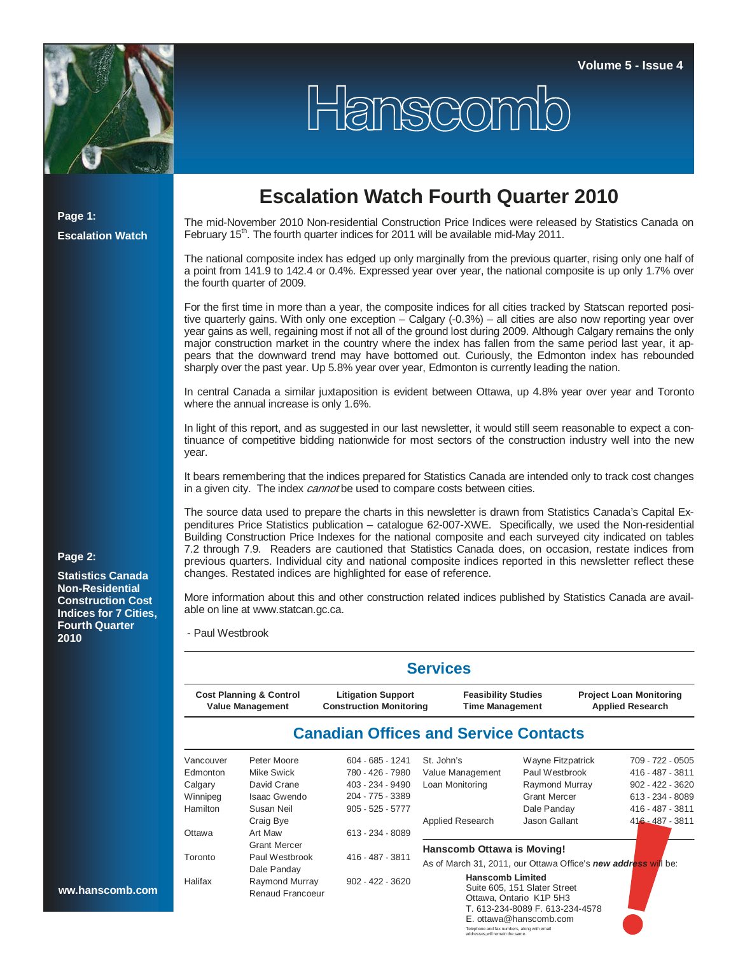

**Page 1:** 

**Escalation Watch**

## **Escalation Watch Fourth Quarter 2010**

Hanscomb

The mid-November 2010 Non-residential Construction Price Indices were released by Statistics Canada on February 15<sup>th</sup>. The fourth quarter indices for 2011 will be available mid-May 2011.

The national composite index has edged up only marginally from the previous quarter, rising only one half of a point from 141.9 to 142.4 or 0.4%. Expressed year over year, the national composite is up only 1.7% over the fourth quarter of 2009.

For the first time in more than a year, the composite indices for all cities tracked by Statscan reported positive quarterly gains. With only one exception – Calgary (-0.3%) – all cities are also now reporting year over year gains as well, regaining most if not all of the ground lost during 2009. Although Calgary remains the only major construction market in the country where the index has fallen from the same period last year, it appears that the downward trend may have bottomed out. Curiously, the Edmonton index has rebounded sharply over the past year. Up 5.8% year over year, Edmonton is currently leading the nation.

In central Canada a similar juxtaposition is evident between Ottawa, up 4.8% year over year and Toronto where the annual increase is only 1.6%.

In light of this report, and as suggested in our last newsletter, it would still seem reasonable to expect a continuance of competitive bidding nationwide for most sectors of the construction industry well into the new year.

It bears remembering that the indices prepared for Statistics Canada are intended only to track cost changes in a given city. The index *cannot* be used to compare costs between cities.

The source data used to prepare the charts in this newsletter is drawn from Statistics Canada's Capital Expenditures Price Statistics publication – catalogue 62-007-XWE. Specifically, we used the Non-residential Building Construction Price Indexes for the national composite and each surveyed city indicated on tables 7.2 through 7.9. Readers are cautioned that Statistics Canada does, on occasion, restate indices from previous quarters. Individual city and national composite indices reported in this newsletter reflect these changes. Restated indices are highlighted for ease of reference.

More information about this and other construction related indices published by Statistics Canada are available on line at www.statcan.gc.ca.

- Paul Westbrook

|           |                                                               |                                                             | <b>Services</b>                                                |                              |                                                           |
|-----------|---------------------------------------------------------------|-------------------------------------------------------------|----------------------------------------------------------------|------------------------------|-----------------------------------------------------------|
|           | <b>Cost Planning &amp; Control</b><br><b>Value Management</b> | <b>Litigation Support</b><br><b>Construction Monitoring</b> | <b>Feasibility Studies</b><br><b>Time Management</b>           |                              | <b>Project Loan Monitoring</b><br><b>Applied Research</b> |
|           |                                                               |                                                             | <b>Canadian Offices and Service Contacts</b>                   |                              |                                                           |
| Vancouver | Peter Moore                                                   | 604 - 685 - 1241                                            | St. John's                                                     | Wayne Fitzpatrick            | 709 - 722 - 0505                                          |
| Edmonton  | Mike Swick                                                    | 780 - 426 - 7980                                            | Value Management                                               | Paul Westbrook               | 416 - 487 - 3811                                          |
| Calgary   | David Crane                                                   | 403 - 234 - 9490                                            | Loan Monitoring                                                | Raymond Murray               | 902 - 422 - 3620                                          |
| Winnipeg  | <b>Isaac Gwendo</b>                                           | 204 - 775 - 3389                                            |                                                                | <b>Grant Mercer</b>          | 613 - 234 - 8089                                          |
| Hamilton  | Susan Neil                                                    | $905 - 525 - 5777$                                          |                                                                | Dale Panday                  | 416 - 487 - 3811                                          |
|           | Craig Bye                                                     |                                                             | Applied Research                                               | Jason Gallant                | $416 - 487 - 3811$                                        |
| Ottawa    | Art Maw                                                       | 613 - 234 - 8089                                            |                                                                |                              |                                                           |
|           | <b>Grant Mercer</b>                                           |                                                             | Hanscomb Ottawa is Moving!                                     |                              |                                                           |
| Toronto   | Paul Westbrook                                                | 416 - 487 - 3811                                            | As of March 31, 2011, our Ottawa Office's new address will be: |                              |                                                           |
|           | Dale Panday                                                   |                                                             |                                                                |                              |                                                           |
| Halifax   | Raymond Murray                                                | $902 - 422 - 3620$                                          | <b>Hanscomb Limited</b>                                        | Suite 605, 151 Slater Street |                                                           |
|           | Renaud Francoeur                                              |                                                             |                                                                | Ottawa, Ontario K1P 5H3      |                                                           |

 T. 613-234-8089 F. 613-234-4578 E. ottawa@hanscomb.com

Telephone and fax numbers, along with email addresses,will remain the same.

## **Page 2:**

**Statistics Canada Non-Residential Construction Cost Indices for 7 Cities, Fourth Quarter 2010**

ww.hanscomb.